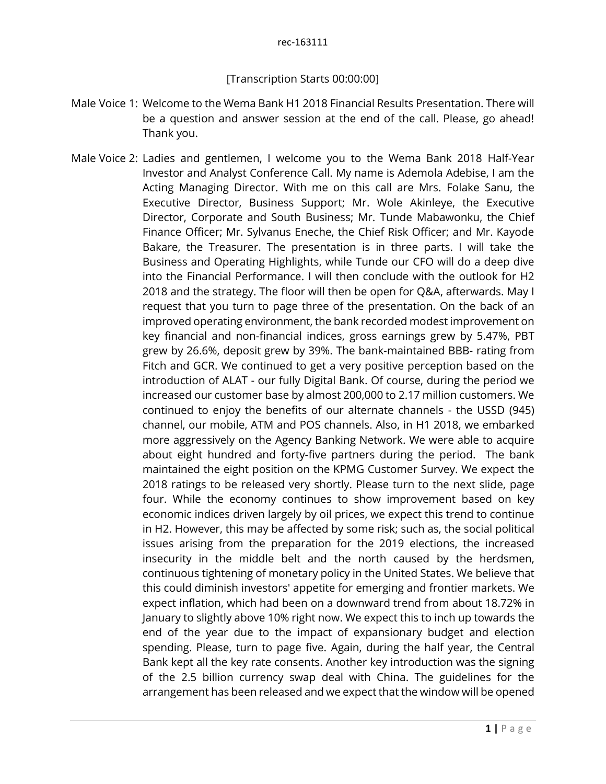## rec-163111

## [Transcription Starts 00:00:00]

- Male Voice 1: Welcome to the Wema Bank H1 2018 Financial Results Presentation. There will be a question and answer session at the end of the call. Please, go ahead! Thank you.
- Male Voice 2: Ladies and gentlemen, I welcome you to the Wema Bank 2018 Half-Year Investor and Analyst Conference Call. My name is Ademola Adebise, I am the Acting Managing Director. With me on this call are Mrs. Folake Sanu, the Executive Director, Business Support; Mr. Wole Akinleye, the Executive Director, Corporate and South Business; Mr. Tunde Mabawonku, the Chief Finance Officer; Mr. Sylvanus Eneche, the Chief Risk Officer; and Mr. Kayode Bakare, the Treasurer. The presentation is in three parts. I will take the Business and Operating Highlights, while Tunde our CFO will do a deep dive into the Financial Performance. I will then conclude with the outlook for H2 2018 and the strategy. The floor will then be open for Q&A, afterwards. May I request that you turn to page three of the presentation. On the back of an improved operating environment, the bank recorded modest improvement on key financial and non-financial indices, gross earnings grew by 5.47%, PBT grew by 26.6%, deposit grew by 39%. The bank-maintained BBB- rating from Fitch and GCR. We continued to get a very positive perception based on the introduction of ALAT - our fully Digital Bank. Of course, during the period we increased our customer base by almost 200,000 to 2.17 million customers. We continued to enjoy the benefits of our alternate channels - the USSD (945) channel, our mobile, ATM and POS channels. Also, in H1 2018, we embarked more aggressively on the Agency Banking Network. We were able to acquire about eight hundred and forty-five partners during the period. The bank maintained the eight position on the KPMG Customer Survey. We expect the 2018 ratings to be released very shortly. Please turn to the next slide, page four. While the economy continues to show improvement based on key economic indices driven largely by oil prices, we expect this trend to continue in H2. However, this may be affected by some risk; such as, the social political issues arising from the preparation for the 2019 elections, the increased insecurity in the middle belt and the north caused by the herdsmen, continuous tightening of monetary policy in the United States. We believe that this could diminish investors' appetite for emerging and frontier markets. We expect inflation, which had been on a downward trend from about 18.72% in January to slightly above 10% right now. We expect this to inch up towards the end of the year due to the impact of expansionary budget and election spending. Please, turn to page five. Again, during the half year, the Central Bank kept all the key rate consents. Another key introduction was the signing of the 2.5 billion currency swap deal with China. The guidelines for the arrangement has been released and we expect that the window will be opened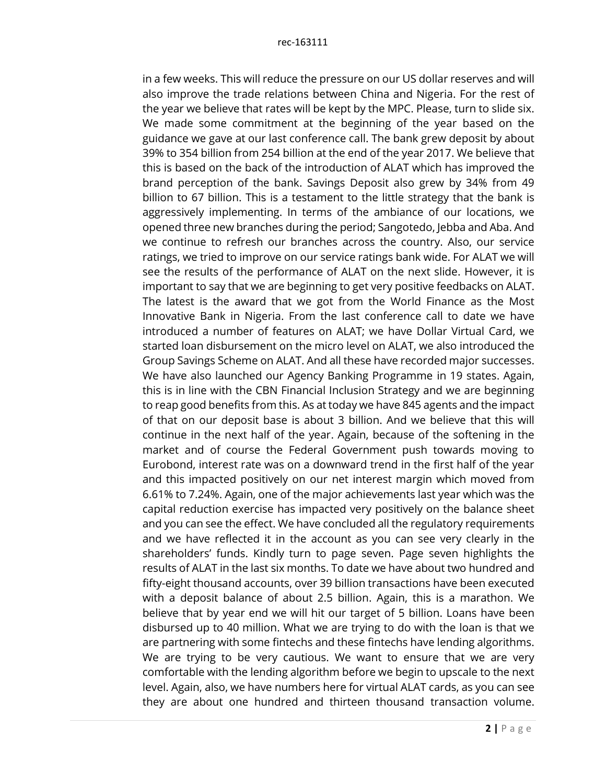in a few weeks. This will reduce the pressure on our US dollar reserves and will also improve the trade relations between China and Nigeria. For the rest of the year we believe that rates will be kept by the MPC. Please, turn to slide six. We made some commitment at the beginning of the year based on the guidance we gave at our last conference call. The bank grew deposit by about 39% to 354 billion from 254 billion at the end of the year 2017. We believe that this is based on the back of the introduction of ALAT which has improved the brand perception of the bank. Savings Deposit also grew by 34% from 49 billion to 67 billion. This is a testament to the little strategy that the bank is aggressively implementing. In terms of the ambiance of our locations, we opened three new branches during the period; Sangotedo, Jebba and Aba. And we continue to refresh our branches across the country. Also, our service ratings, we tried to improve on our service ratings bank wide. For ALAT we will see the results of the performance of ALAT on the next slide. However, it is important to say that we are beginning to get very positive feedbacks on ALAT. The latest is the award that we got from the World Finance as the Most Innovative Bank in Nigeria. From the last conference call to date we have introduced a number of features on ALAT; we have Dollar Virtual Card, we started loan disbursement on the micro level on ALAT, we also introduced the Group Savings Scheme on ALAT. And all these have recorded major successes. We have also launched our Agency Banking Programme in 19 states. Again, this is in line with the CBN Financial Inclusion Strategy and we are beginning to reap good benefits from this. As at today we have 845 agents and the impact of that on our deposit base is about 3 billion. And we believe that this will continue in the next half of the year. Again, because of the softening in the market and of course the Federal Government push towards moving to Eurobond, interest rate was on a downward trend in the first half of the year and this impacted positively on our net interest margin which moved from 6.61% to 7.24%. Again, one of the major achievements last year which was the capital reduction exercise has impacted very positively on the balance sheet and you can see the effect. We have concluded all the regulatory requirements and we have reflected it in the account as you can see very clearly in the shareholders' funds. Kindly turn to page seven. Page seven highlights the results of ALAT in the last six months. To date we have about two hundred and fifty-eight thousand accounts, over 39 billion transactions have been executed with a deposit balance of about 2.5 billion. Again, this is a marathon. We believe that by year end we will hit our target of 5 billion. Loans have been disbursed up to 40 million. What we are trying to do with the loan is that we are partnering with some fintechs and these fintechs have lending algorithms. We are trying to be very cautious. We want to ensure that we are very comfortable with the lending algorithm before we begin to upscale to the next level. Again, also, we have numbers here for virtual ALAT cards, as you can see they are about one hundred and thirteen thousand transaction volume.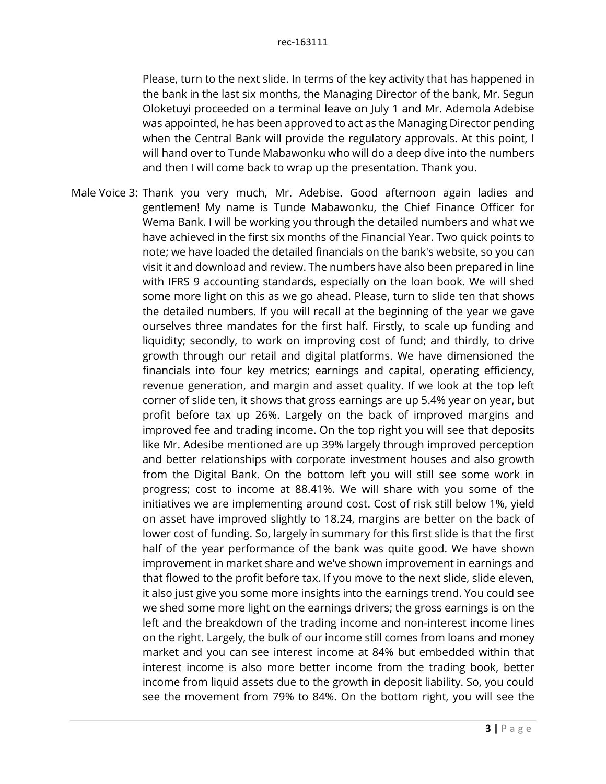Please, turn to the next slide. In terms of the key activity that has happened in the bank in the last six months, the Managing Director of the bank, Mr. Segun Oloketuyi proceeded on a terminal leave on July 1 and Mr. Ademola Adebise was appointed, he has been approved to act as the Managing Director pending when the Central Bank will provide the regulatory approvals. At this point, I will hand over to Tunde Mabawonku who will do a deep dive into the numbers and then I will come back to wrap up the presentation. Thank you.

Male Voice 3: Thank you very much, Mr. Adebise. Good afternoon again ladies and gentlemen! My name is Tunde Mabawonku, the Chief Finance Officer for Wema Bank. I will be working you through the detailed numbers and what we have achieved in the first six months of the Financial Year. Two quick points to note; we have loaded the detailed financials on the bank's website, so you can visit it and download and review. The numbers have also been prepared in line with IFRS 9 accounting standards, especially on the loan book. We will shed some more light on this as we go ahead. Please, turn to slide ten that shows the detailed numbers. If you will recall at the beginning of the year we gave ourselves three mandates for the first half. Firstly, to scale up funding and liquidity; secondly, to work on improving cost of fund; and thirdly, to drive growth through our retail and digital platforms. We have dimensioned the financials into four key metrics; earnings and capital, operating efficiency, revenue generation, and margin and asset quality. If we look at the top left corner of slide ten, it shows that gross earnings are up 5.4% year on year, but profit before tax up 26%. Largely on the back of improved margins and improved fee and trading income. On the top right you will see that deposits like Mr. Adesibe mentioned are up 39% largely through improved perception and better relationships with corporate investment houses and also growth from the Digital Bank. On the bottom left you will still see some work in progress; cost to income at 88.41%. We will share with you some of the initiatives we are implementing around cost. Cost of risk still below 1%, yield on asset have improved slightly to 18.24, margins are better on the back of lower cost of funding. So, largely in summary for this first slide is that the first half of the year performance of the bank was quite good. We have shown improvement in market share and we've shown improvement in earnings and that flowed to the profit before tax. If you move to the next slide, slide eleven, it also just give you some more insights into the earnings trend. You could see we shed some more light on the earnings drivers; the gross earnings is on the left and the breakdown of the trading income and non-interest income lines on the right. Largely, the bulk of our income still comes from loans and money market and you can see interest income at 84% but embedded within that interest income is also more better income from the trading book, better income from liquid assets due to the growth in deposit liability. So, you could see the movement from 79% to 84%. On the bottom right, you will see the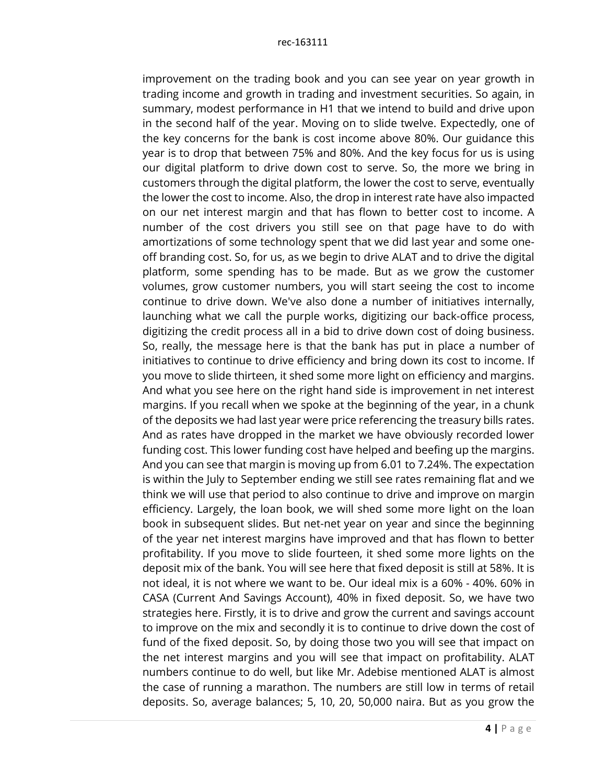improvement on the trading book and you can see year on year growth in trading income and growth in trading and investment securities. So again, in summary, modest performance in H1 that we intend to build and drive upon in the second half of the year. Moving on to slide twelve. Expectedly, one of the key concerns for the bank is cost income above 80%. Our guidance this year is to drop that between 75% and 80%. And the key focus for us is using our digital platform to drive down cost to serve. So, the more we bring in customers through the digital platform, the lower the cost to serve, eventually the lower the cost to income. Also, the drop in interest rate have also impacted on our net interest margin and that has flown to better cost to income. A number of the cost drivers you still see on that page have to do with amortizations of some technology spent that we did last year and some oneoff branding cost. So, for us, as we begin to drive ALAT and to drive the digital platform, some spending has to be made. But as we grow the customer volumes, grow customer numbers, you will start seeing the cost to income continue to drive down. We've also done a number of initiatives internally, launching what we call the purple works, digitizing our back-office process, digitizing the credit process all in a bid to drive down cost of doing business. So, really, the message here is that the bank has put in place a number of initiatives to continue to drive efficiency and bring down its cost to income. If you move to slide thirteen, it shed some more light on efficiency and margins. And what you see here on the right hand side is improvement in net interest margins. If you recall when we spoke at the beginning of the year, in a chunk of the deposits we had last year were price referencing the treasury bills rates. And as rates have dropped in the market we have obviously recorded lower funding cost. This lower funding cost have helped and beefing up the margins. And you can see that margin is moving up from 6.01 to 7.24%. The expectation is within the July to September ending we still see rates remaining flat and we think we will use that period to also continue to drive and improve on margin efficiency. Largely, the loan book, we will shed some more light on the loan book in subsequent slides. But net-net year on year and since the beginning of the year net interest margins have improved and that has flown to better profitability. If you move to slide fourteen, it shed some more lights on the deposit mix of the bank. You will see here that fixed deposit is still at 58%. It is not ideal, it is not where we want to be. Our ideal mix is a 60% - 40%. 60% in CASA (Current And Savings Account), 40% in fixed deposit. So, we have two strategies here. Firstly, it is to drive and grow the current and savings account to improve on the mix and secondly it is to continue to drive down the cost of fund of the fixed deposit. So, by doing those two you will see that impact on the net interest margins and you will see that impact on profitability. ALAT numbers continue to do well, but like Mr. Adebise mentioned ALAT is almost the case of running a marathon. The numbers are still low in terms of retail deposits. So, average balances; 5, 10, 20, 50,000 naira. But as you grow the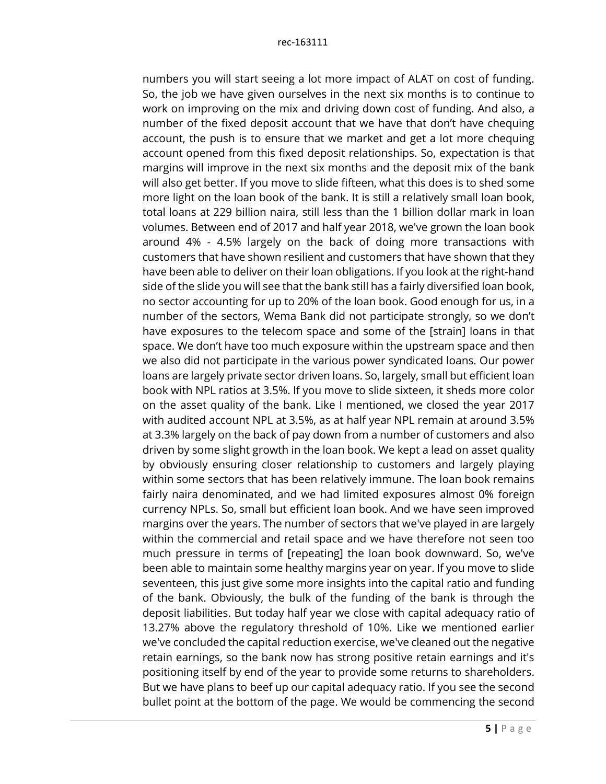numbers you will start seeing a lot more impact of ALAT on cost of funding. So, the job we have given ourselves in the next six months is to continue to work on improving on the mix and driving down cost of funding. And also, a number of the fixed deposit account that we have that don't have chequing account, the push is to ensure that we market and get a lot more chequing account opened from this fixed deposit relationships. So, expectation is that margins will improve in the next six months and the deposit mix of the bank will also get better. If you move to slide fifteen, what this does is to shed some more light on the loan book of the bank. It is still a relatively small loan book, total loans at 229 billion naira, still less than the 1 billion dollar mark in loan volumes. Between end of 2017 and half year 2018, we've grown the loan book around 4% - 4.5% largely on the back of doing more transactions with customers that have shown resilient and customers that have shown that they have been able to deliver on their loan obligations. If you look at the right-hand side of the slide you will see that the bank still has a fairly diversified loan book, no sector accounting for up to 20% of the loan book. Good enough for us, in a number of the sectors, Wema Bank did not participate strongly, so we don't have exposures to the telecom space and some of the [strain] loans in that space. We don't have too much exposure within the upstream space and then we also did not participate in the various power syndicated loans. Our power loans are largely private sector driven loans. So, largely, small but efficient loan book with NPL ratios at 3.5%. If you move to slide sixteen, it sheds more color on the asset quality of the bank. Like I mentioned, we closed the year 2017 with audited account NPL at 3.5%, as at half year NPL remain at around 3.5% at 3.3% largely on the back of pay down from a number of customers and also driven by some slight growth in the loan book. We kept a lead on asset quality by obviously ensuring closer relationship to customers and largely playing within some sectors that has been relatively immune. The loan book remains fairly naira denominated, and we had limited exposures almost 0% foreign currency NPLs. So, small but efficient loan book. And we have seen improved margins over the years. The number of sectors that we've played in are largely within the commercial and retail space and we have therefore not seen too much pressure in terms of [repeating] the loan book downward. So, we've been able to maintain some healthy margins year on year. If you move to slide seventeen, this just give some more insights into the capital ratio and funding of the bank. Obviously, the bulk of the funding of the bank is through the deposit liabilities. But today half year we close with capital adequacy ratio of 13.27% above the regulatory threshold of 10%. Like we mentioned earlier we've concluded the capital reduction exercise, we've cleaned out the negative retain earnings, so the bank now has strong positive retain earnings and it's positioning itself by end of the year to provide some returns to shareholders. But we have plans to beef up our capital adequacy ratio. If you see the second bullet point at the bottom of the page. We would be commencing the second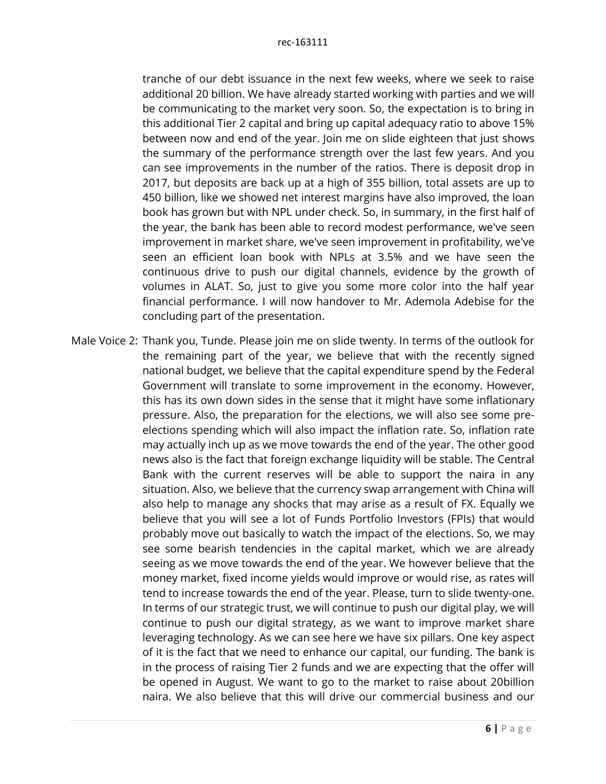tranche of our debt issuance in the next few weeks, where we seek to raise additional 20 billion. We have already started working with parties and we will be communicating to the market very soon. So, the expectation is to bring in this additional Tier 2 capital and bring up capital adequacy ratio to above 15% between now and end of the year. Join me on slide eighteen that just shows the summary of the performance strength over the last few years. And you can see improvements in the number of the ratios. There is deposit drop in 2017, but deposits are back up at a high of 355 billion, total assets are up to 450 billion, like we showed net interest margins have also improved, the loan book has grown but with NPL under check. So, in summary, in the first half of the year, the bank has been able to record modest performance, we've seen improvement in market share, we've seen improvement in profitability, we've seen an efficient loan book with NPLs at 3.5% and we have seen the continuous drive to push our digital channels, evidence by the growth of volumes in ALAT. So, just to give you some more color into the half year financial performance. I will now handover to Mr. Ademola Adebise for the concluding part of the presentation.

Male Voice 2: Thank you, Tunde. Please join me on slide twenty. In terms of the outlook for the remaining part of the year, we believe that with the recently signed national budget, we believe that the capital expenditure spend by the Federal Government will translate to some improvement in the economy. However, this has its own down sides in the sense that it might have some inflationary pressure. Also, the preparation for the elections, we will also see some preelections spending which will also impact the inflation rate. So, inflation rate may actually inch up as we move towards the end of the year. The other good news also is the fact that foreign exchange liquidity will be stable. The Central Bank with the current reserves will be able to support the naira in any situation. Also, we believe that the currency swap arrangement with China will also help to manage any shocks that may arise as a result of FX. Equally we believe that you will see a lot of Funds Portfolio Investors (FPIs) that would probably move out basically to watch the impact of the elections. So, we may see some bearish tendencies in the capital market, which we are already seeing as we move towards the end of the year. We however believe that the money market, fixed income yields would improve or would rise, as rates will tend to increase towards the end of the year. Please, turn to slide twenty-one. In terms of our strategic trust, we will continue to push our digital play, we will continue to push our digital strategy, as we want to improve market share leveraging technology. As we can see here we have six pillars. One key aspect of it is the fact that we need to enhance our capital, our funding. The bank is in the process of raising Tier 2 funds and we are expecting that the offer will be opened in August. We want to go to the market to raise about 20billion naira. We also believe that this will drive our commercial business and our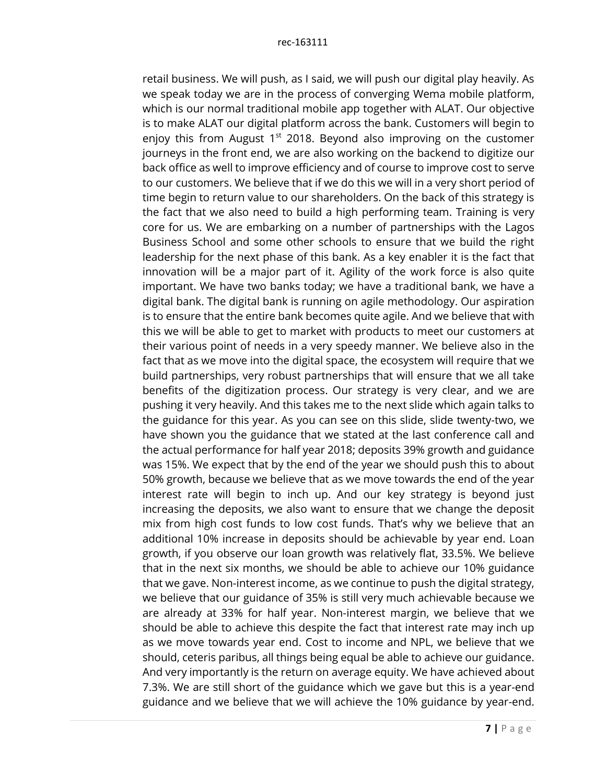retail business. We will push, as I said, we will push our digital play heavily. As we speak today we are in the process of converging Wema mobile platform, which is our normal traditional mobile app together with ALAT. Our objective is to make ALAT our digital platform across the bank. Customers will begin to enjoy this from August  $1<sup>st</sup>$  2018. Beyond also improving on the customer journeys in the front end, we are also working on the backend to digitize our back office as well to improve efficiency and of course to improve cost to serve to our customers. We believe that if we do this we will in a very short period of time begin to return value to our shareholders. On the back of this strategy is the fact that we also need to build a high performing team. Training is very core for us. We are embarking on a number of partnerships with the Lagos Business School and some other schools to ensure that we build the right leadership for the next phase of this bank. As a key enabler it is the fact that innovation will be a major part of it. Agility of the work force is also quite important. We have two banks today; we have a traditional bank, we have a digital bank. The digital bank is running on agile methodology. Our aspiration is to ensure that the entire bank becomes quite agile. And we believe that with this we will be able to get to market with products to meet our customers at their various point of needs in a very speedy manner. We believe also in the fact that as we move into the digital space, the ecosystem will require that we build partnerships, very robust partnerships that will ensure that we all take benefits of the digitization process. Our strategy is very clear, and we are pushing it very heavily. And this takes me to the next slide which again talks to the guidance for this year. As you can see on this slide, slide twenty-two, we have shown you the guidance that we stated at the last conference call and the actual performance for half year 2018; deposits 39% growth and guidance was 15%. We expect that by the end of the year we should push this to about 50% growth, because we believe that as we move towards the end of the year interest rate will begin to inch up. And our key strategy is beyond just increasing the deposits, we also want to ensure that we change the deposit mix from high cost funds to low cost funds. That's why we believe that an additional 10% increase in deposits should be achievable by year end. Loan growth, if you observe our loan growth was relatively flat, 33.5%. We believe that in the next six months, we should be able to achieve our 10% guidance that we gave. Non-interest income, as we continue to push the digital strategy, we believe that our guidance of 35% is still very much achievable because we are already at 33% for half year. Non-interest margin, we believe that we should be able to achieve this despite the fact that interest rate may inch up as we move towards year end. Cost to income and NPL, we believe that we should, ceteris paribus, all things being equal be able to achieve our guidance. And very importantly is the return on average equity. We have achieved about 7.3%. We are still short of the guidance which we gave but this is a year-end guidance and we believe that we will achieve the 10% guidance by year-end.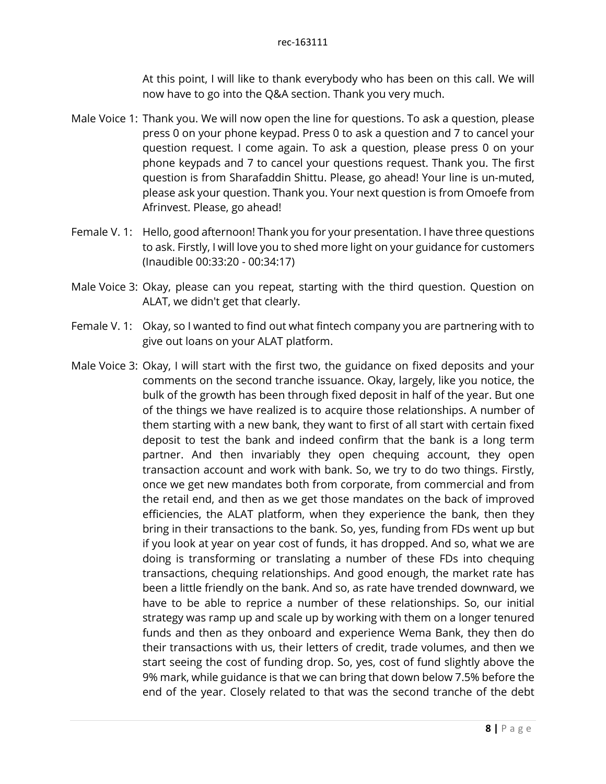At this point, I will like to thank everybody who has been on this call. We will now have to go into the Q&A section. Thank you very much.

- Male Voice 1: Thank you. We will now open the line for questions. To ask a question, please press 0 on your phone keypad. Press 0 to ask a question and 7 to cancel your question request. I come again. To ask a question, please press 0 on your phone keypads and 7 to cancel your questions request. Thank you. The first question is from Sharafaddin Shittu. Please, go ahead! Your line is un-muted, please ask your question. Thank you. Your next question is from Omoefe from Afrinvest. Please, go ahead!
- Female V. 1: Hello, good afternoon! Thank you for your presentation. I have three questions to ask. Firstly, I will love you to shed more light on your guidance for customers (Inaudible 00:33:20 - 00:34:17)
- Male Voice 3: Okay, please can you repeat, starting with the third question. Question on ALAT, we didn't get that clearly.
- Female V. 1: Okay, so I wanted to find out what fintech company you are partnering with to give out loans on your ALAT platform.
- Male Voice 3: Okay, I will start with the first two, the guidance on fixed deposits and your comments on the second tranche issuance. Okay, largely, like you notice, the bulk of the growth has been through fixed deposit in half of the year. But one of the things we have realized is to acquire those relationships. A number of them starting with a new bank, they want to first of all start with certain fixed deposit to test the bank and indeed confirm that the bank is a long term partner. And then invariably they open chequing account, they open transaction account and work with bank. So, we try to do two things. Firstly, once we get new mandates both from corporate, from commercial and from the retail end, and then as we get those mandates on the back of improved efficiencies, the ALAT platform, when they experience the bank, then they bring in their transactions to the bank. So, yes, funding from FDs went up but if you look at year on year cost of funds, it has dropped. And so, what we are doing is transforming or translating a number of these FDs into chequing transactions, chequing relationships. And good enough, the market rate has been a little friendly on the bank. And so, as rate have trended downward, we have to be able to reprice a number of these relationships. So, our initial strategy was ramp up and scale up by working with them on a longer tenured funds and then as they onboard and experience Wema Bank, they then do their transactions with us, their letters of credit, trade volumes, and then we start seeing the cost of funding drop. So, yes, cost of fund slightly above the 9% mark, while guidance is that we can bring that down below 7.5% before the end of the year. Closely related to that was the second tranche of the debt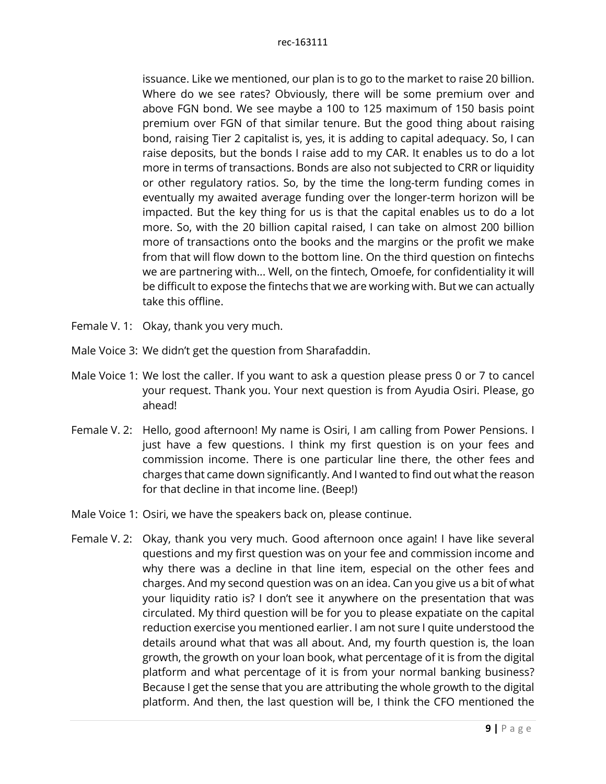issuance. Like we mentioned, our plan is to go to the market to raise 20 billion. Where do we see rates? Obviously, there will be some premium over and above FGN bond. We see maybe a 100 to 125 maximum of 150 basis point premium over FGN of that similar tenure. But the good thing about raising bond, raising Tier 2 capitalist is, yes, it is adding to capital adequacy. So, I can raise deposits, but the bonds I raise add to my CAR. It enables us to do a lot more in terms of transactions. Bonds are also not subjected to CRR or liquidity or other regulatory ratios. So, by the time the long-term funding comes in eventually my awaited average funding over the longer-term horizon will be impacted. But the key thing for us is that the capital enables us to do a lot more. So, with the 20 billion capital raised, I can take on almost 200 billion more of transactions onto the books and the margins or the profit we make from that will flow down to the bottom line. On the third question on fintechs we are partnering with... Well, on the fintech, Omoefe, for confidentiality it will be difficult to expose the fintechs that we are working with. But we can actually take this offline.

- Female V. 1: Okay, thank you very much.
- Male Voice 3: We didn't get the question from Sharafaddin.
- Male Voice 1: We lost the caller. If you want to ask a question please press 0 or 7 to cancel your request. Thank you. Your next question is from Ayudia Osiri. Please, go ahead!
- Female V. 2: Hello, good afternoon! My name is Osiri, I am calling from Power Pensions. I just have a few questions. I think my first question is on your fees and commission income. There is one particular line there, the other fees and charges that came down significantly. And I wanted to find out what the reason for that decline in that income line. (Beep!)
- Male Voice 1: Osiri, we have the speakers back on, please continue.
- Female V. 2: Okay, thank you very much. Good afternoon once again! I have like several questions and my first question was on your fee and commission income and why there was a decline in that line item, especial on the other fees and charges. And my second question was on an idea. Can you give us a bit of what your liquidity ratio is? I don't see it anywhere on the presentation that was circulated. My third question will be for you to please expatiate on the capital reduction exercise you mentioned earlier. I am not sure I quite understood the details around what that was all about. And, my fourth question is, the loan growth, the growth on your loan book, what percentage of it is from the digital platform and what percentage of it is from your normal banking business? Because I get the sense that you are attributing the whole growth to the digital platform. And then, the last question will be, I think the CFO mentioned the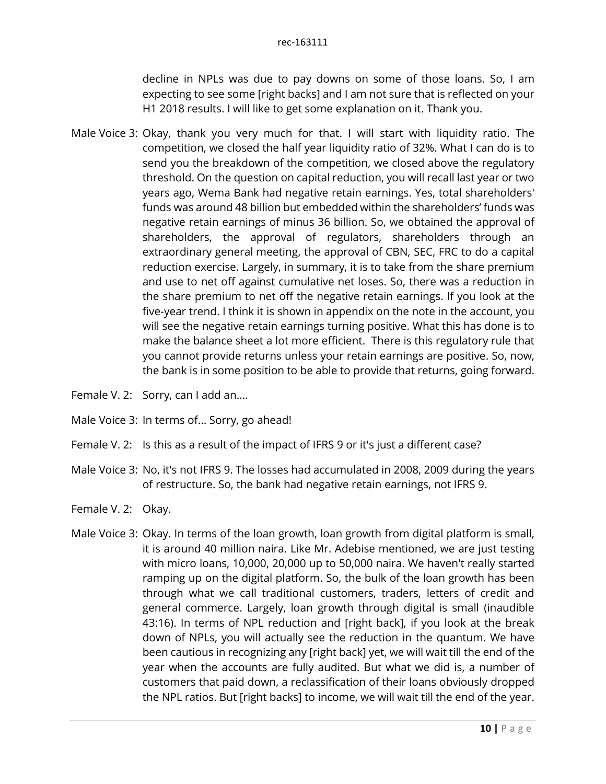decline in NPLs was due to pay downs on some of those loans. So, I am expecting to see some [right backs] and I am not sure that is reflected on your H1 2018 results. I will like to get some explanation on it. Thank you.

- Male Voice 3: Okay, thank you very much for that. I will start with liquidity ratio. The competition, we closed the half year liquidity ratio of 32%. What I can do is to send you the breakdown of the competition, we closed above the regulatory threshold. On the question on capital reduction, you will recall last year or two years ago, Wema Bank had negative retain earnings. Yes, total shareholders' funds was around 48 billion but embedded within the shareholders' funds was negative retain earnings of minus 36 billion. So, we obtained the approval of shareholders, the approval of regulators, shareholders through an extraordinary general meeting, the approval of CBN, SEC, FRC to do a capital reduction exercise. Largely, in summary, it is to take from the share premium and use to net off against cumulative net loses. So, there was a reduction in the share premium to net off the negative retain earnings. If you look at the five-year trend. I think it is shown in appendix on the note in the account, you will see the negative retain earnings turning positive. What this has done is to make the balance sheet a lot more efficient. There is this regulatory rule that you cannot provide returns unless your retain earnings are positive. So, now, the bank is in some position to be able to provide that returns, going forward.
- Female V. 2: Sorry, can I add an....
- Male Voice 3: In terms of... Sorry, go ahead!
- Female V. 2: Is this as a result of the impact of IFRS 9 or it's just a different case?
- Male Voice 3: No, it's not IFRS 9. The losses had accumulated in 2008, 2009 during the years of restructure. So, the bank had negative retain earnings, not IFRS 9.
- Female V. 2: Okay.
- Male Voice 3: Okay. In terms of the loan growth, loan growth from digital platform is small, it is around 40 million naira. Like Mr. Adebise mentioned, we are just testing with micro loans, 10,000, 20,000 up to 50,000 naira. We haven't really started ramping up on the digital platform. So, the bulk of the loan growth has been through what we call traditional customers, traders, letters of credit and general commerce. Largely, loan growth through digital is small (inaudible 43:16). In terms of NPL reduction and [right back], if you look at the break down of NPLs, you will actually see the reduction in the quantum. We have been cautious in recognizing any [right back] yet, we will wait till the end of the year when the accounts are fully audited. But what we did is, a number of customers that paid down, a reclassification of their loans obviously dropped the NPL ratios. But [right backs] to income, we will wait till the end of the year.